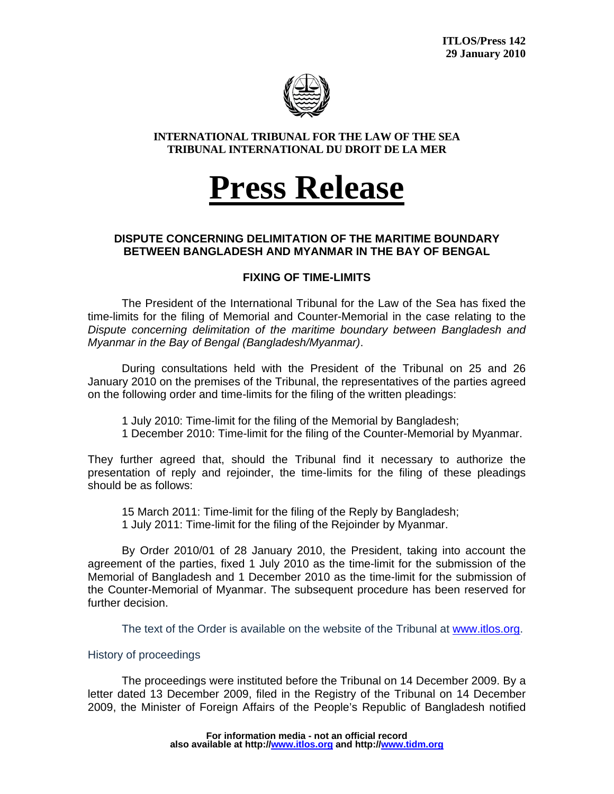

#### **INTERNATIONAL TRIBUNAL FOR THE LAW OF THE SEA TRIBUNAL INTERNATIONAL DU DROIT DE LA MER**

# **Press Release**

## **DISPUTE CONCERNING DELIMITATION OF THE MARITIME BOUNDARY BETWEEN BANGLADESH AND MYANMAR IN THE BAY OF BENGAL**

## **FIXING OF TIME-LIMITS**

The President of the International Tribunal for the Law of the Sea has fixed the time-limits for the filing of Memorial and Counter-Memorial in the case relating to the *Dispute concerning delimitation of the maritime boundary between Bangladesh and Myanmar in the Bay of Bengal (Bangladesh/Myanmar)*.

During consultations held with the President of the Tribunal on 25 and 26 January 2010 on the premises of the Tribunal, the representatives of the parties agreed on the following order and time-limits for the filing of the written pleadings:

1 July 2010: Time-limit for the filing of the Memorial by Bangladesh;

1 December 2010: Time-limit for the filing of the Counter-Memorial by Myanmar.

They further agreed that, should the Tribunal find it necessary to authorize the presentation of reply and rejoinder, the time-limits for the filing of these pleadings should be as follows:

15 March 2011: Time-limit for the filing of the Reply by Bangladesh; 1 July 2011: Time-limit for the filing of the Rejoinder by Myanmar.

By Order 2010/01 of 28 January 2010, the President, taking into account the agreement of the parties, fixed 1 July 2010 as the time-limit for the submission of the Memorial of Bangladesh and 1 December 2010 as the time-limit for the submission of the Counter-Memorial of Myanmar. The subsequent procedure has been reserved for further decision.

The text of the Order is available on the website of the Tribunal at www.itlos.org.

## History of proceedings

The proceedings were instituted before the Tribunal on 14 December 2009. By a letter dated 13 December 2009, filed in the Registry of the Tribunal on 14 December 2009, the Minister of Foreign Affairs of the People's Republic of Bangladesh notified